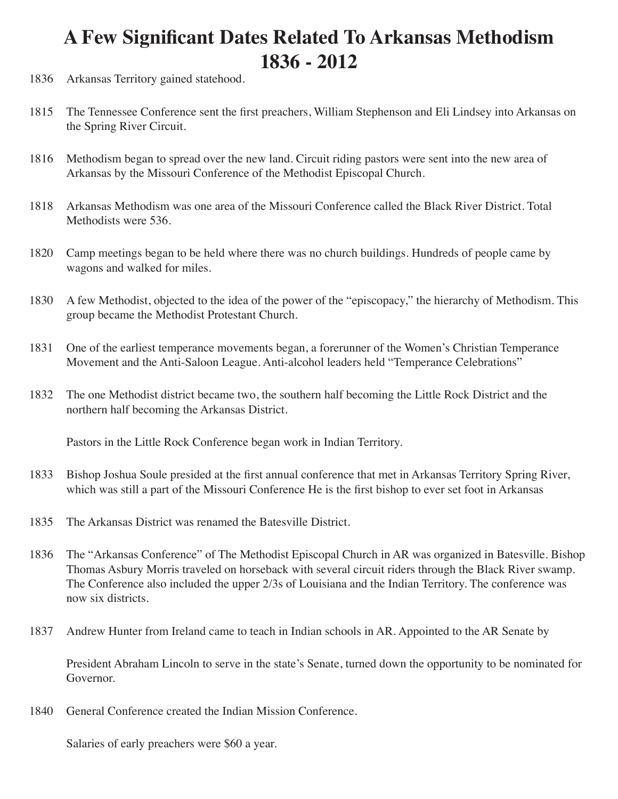## **A Few Significant Dates Related To Arkansas Methodism 1836 - 2012**

- 1836 Arkansas Territory gained statehood.
- 1815 The Tennessee Conference sent the first preachers, William Stephenson and Eli Lindsey into Arkansas on the Spring River Circuit.
- 1816 Methodism began to spread over the new land. Circuit riding pastors were sent into the new area of Arkansas by the Missouri Conference of the Methodist Episcopal Church.
- 1818 Arkansas Methodism was one area of the Missouri Conference called the Black River District. Total Methodists were 536.
- 1820 Camp meetings began to be held where there was no church buildings. Hundreds of people came by wagons and walked for miles.
- 1830 A few Methodist, objected to the idea of the power of the "episcopacy," the hierarchy of Methodism. This group became the Methodist Protestant Church.
- 1831 One of the earliest temperance movements began, a forerunner of the Women's Christian Temperance Movement and the Anti-Saloon League. Anti-alcohol leaders held "Temperance Celebrations"
- 1832 The one Methodist district became two, the southern half becoming the Little Rock District and the northern half becoming the Arkansas District.

Pastors in the Little Rock Conference began work in Indian Territory.

- 1833 Bishop Joshua Soule presided at the first annual conference that met in Arkansas Territory Spring River, which was still a part of the Missouri Conference He is the first bishop to ever set foot in Arkansas
- 1835 The Arkansas District was renamed the Batesville District.
- 1836 The "Arkansas Conference" of The Methodist Episcopal Church in AR was organized in Batesville. Bishop Thomas Asbury Morris traveled on horseback with several circuit riders through the Black River swamp. The Conference also included the upper 2/3s of Louisiana and the Indian Territory. The conference was now six districts.
- 1837 Andrew Hunter from Ireland came to teach in Indian schools in AR. Appointed to the AR Senate by

President Abraham Lincoln to serve in the state's Senate, turned down the opportunity to be nominated for Governor.

1840 General Conference created the Indian Mission Conference.

Salaries of early preachers were \$60 a year.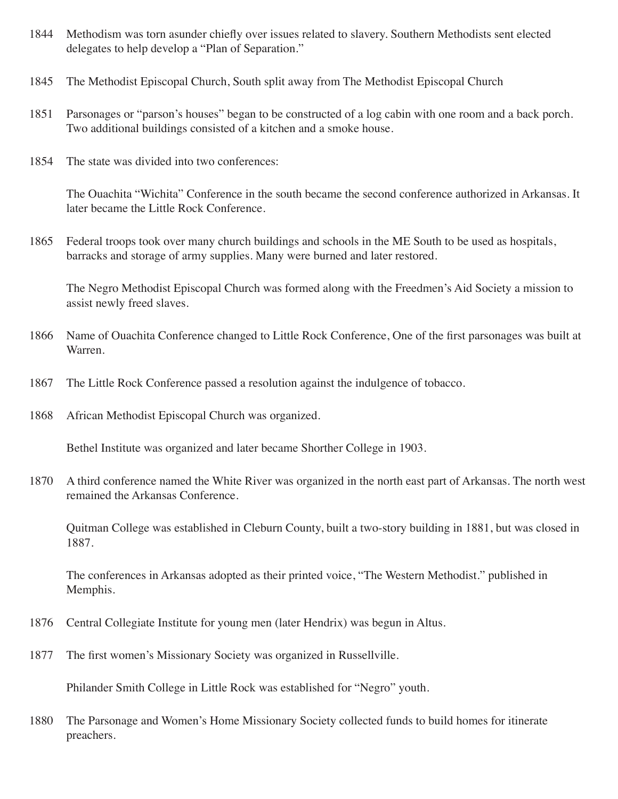- 1844 Methodism was torn asunder chiefly over issues related to slavery. Southern Methodists sent elected delegates to help develop a "Plan of Separation."
- 1845 The Methodist Episcopal Church, South split away from The Methodist Episcopal Church
- 1851 Parsonages or "parson's houses" began to be constructed of a log cabin with one room and a back porch. Two additional buildings consisted of a kitchen and a smoke house.
- 1854 The state was divided into two conferences:

The Ouachita "Wichita" Conference in the south became the second conference authorized in Arkansas. It later became the Little Rock Conference.

1865 Federal troops took over many church buildings and schools in the ME South to be used as hospitals, barracks and storage of army supplies. Many were burned and later restored.

The Negro Methodist Episcopal Church was formed along with the Freedmen's Aid Society a mission to assist newly freed slaves.

- 1866 Name of Ouachita Conference changed to Little Rock Conference, One of the first parsonages was built at Warren.
- 1867 The Little Rock Conference passed a resolution against the indulgence of tobacco.
- 1868 African Methodist Episcopal Church was organized.

Bethel Institute was organized and later became Shorther College in 1903.

1870 A third conference named the White River was organized in the north east part of Arkansas. The north west remained the Arkansas Conference.

Quitman College was established in Cleburn County, built a two-story building in 1881, but was closed in 1887.

The conferences in Arkansas adopted as their printed voice, "The Western Methodist." published in Memphis.

- 1876 Central Collegiate Institute for young men (later Hendrix) was begun in Altus.
- 1877 The first women's Missionary Society was organized in Russellville.

Philander Smith College in Little Rock was established for "Negro" youth.

1880 The Parsonage and Women's Home Missionary Society collected funds to build homes for itinerate preachers.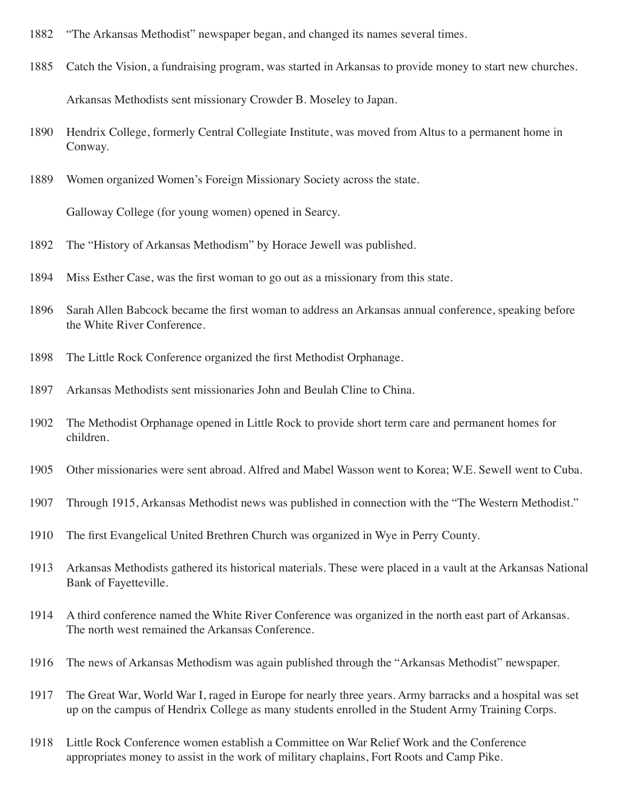- 1882 "The Arkansas Methodist" newspaper began, and changed its names several times.
- 1885 Catch the Vision, a fundraising program, was started in Arkansas to provide money to start new churches. Arkansas Methodists sent missionary Crowder B. Moseley to Japan.
- 1890 Hendrix College, formerly Central Collegiate Institute, was moved from Altus to a permanent home in Conway.
- 1889 Women organized Women's Foreign Missionary Society across the state.

Galloway College (for young women) opened in Searcy.

- 1892 The "History of Arkansas Methodism" by Horace Jewell was published.
- 1894 Miss Esther Case, was the first woman to go out as a missionary from this state.
- 1896 Sarah Allen Babcock became the first woman to address an Arkansas annual conference, speaking before the White River Conference.
- 1898 The Little Rock Conference organized the first Methodist Orphanage.
- 1897 Arkansas Methodists sent missionaries John and Beulah Cline to China.
- 1902 The Methodist Orphanage opened in Little Rock to provide short term care and permanent homes for children.
- 1905 Other missionaries were sent abroad. Alfred and Mabel Wasson went to Korea; W.E. Sewell went to Cuba.
- 1907 Through 1915, Arkansas Methodist news was published in connection with the "The Western Methodist."
- 1910 The first Evangelical United Brethren Church was organized in Wye in Perry County.
- 1913 Arkansas Methodists gathered its historical materials. These were placed in a vault at the Arkansas National Bank of Fayetteville.
- 1914 A third conference named the White River Conference was organized in the north east part of Arkansas. The north west remained the Arkansas Conference.
- 1916 The news of Arkansas Methodism was again published through the "Arkansas Methodist" newspaper.
- 1917 The Great War, World War I, raged in Europe for nearly three years. Army barracks and a hospital was set up on the campus of Hendrix College as many students enrolled in the Student Army Training Corps.
- 1918 Little Rock Conference women establish a Committee on War Relief Work and the Conference appropriates money to assist in the work of military chaplains, Fort Roots and Camp Pike.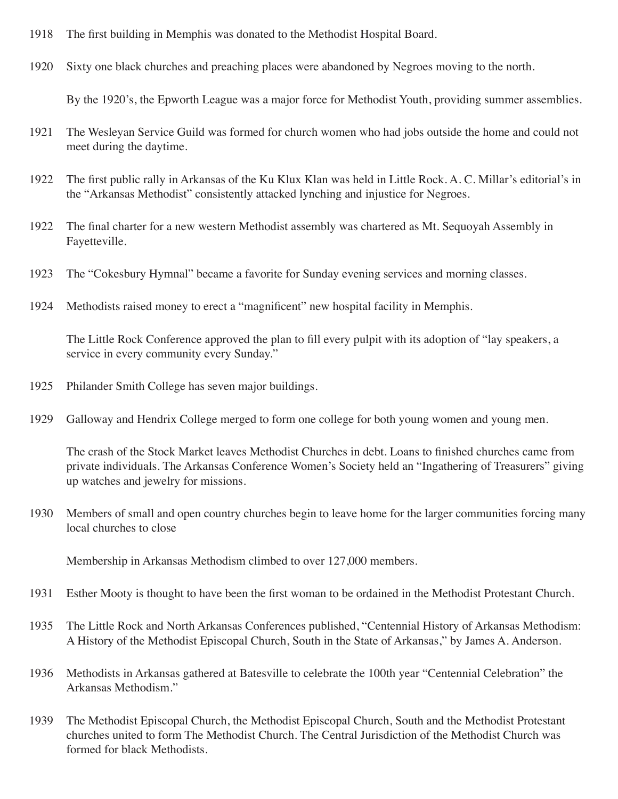- 1918 The first building in Memphis was donated to the Methodist Hospital Board.
- 1920 Sixty one black churches and preaching places were abandoned by Negroes moving to the north.

By the 1920's, the Epworth League was a major force for Methodist Youth, providing summer assemblies.

- 1921 The Wesleyan Service Guild was formed for church women who had jobs outside the home and could not meet during the daytime.
- 1922 The first public rally in Arkansas of the Ku Klux Klan was held in Little Rock. A. C. Millar's editorial's in the "Arkansas Methodist" consistently attacked lynching and injustice for Negroes.
- 1922 The final charter for a new western Methodist assembly was chartered as Mt. Sequoyah Assembly in Fayetteville.
- 1923 The "Cokesbury Hymnal" became a favorite for Sunday evening services and morning classes.
- 1924 Methodists raised money to erect a "magnificent" new hospital facility in Memphis.

The Little Rock Conference approved the plan to fill every pulpit with its adoption of "lay speakers, a service in every community every Sunday."

- 1925 Philander Smith College has seven major buildings.
- 1929 Galloway and Hendrix College merged to form one college for both young women and young men.

The crash of the Stock Market leaves Methodist Churches in debt. Loans to finished churches came from private individuals. The Arkansas Conference Women's Society held an "Ingathering of Treasurers" giving up watches and jewelry for missions.

1930 Members of small and open country churches begin to leave home for the larger communities forcing many local churches to close

Membership in Arkansas Methodism climbed to over 127,000 members.

- 1931 Esther Mooty is thought to have been the first woman to be ordained in the Methodist Protestant Church.
- 1935 The Little Rock and North Arkansas Conferences published, "Centennial History of Arkansas Methodism: A History of the Methodist Episcopal Church, South in the State of Arkansas," by James A. Anderson.
- 1936 Methodists in Arkansas gathered at Batesville to celebrate the 100th year "Centennial Celebration" the Arkansas Methodism."
- 1939 The Methodist Episcopal Church, the Methodist Episcopal Church, South and the Methodist Protestant churches united to form The Methodist Church. The Central Jurisdiction of the Methodist Church was formed for black Methodists.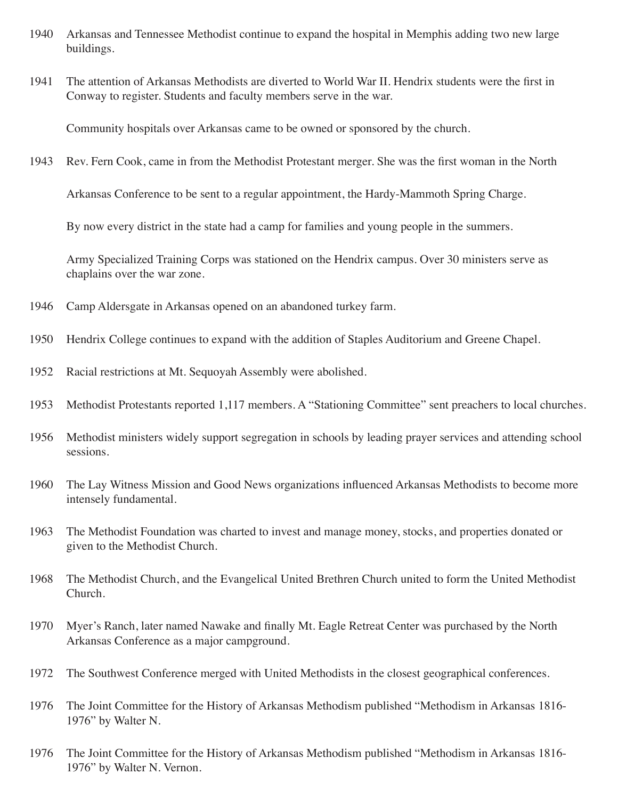- 1940 Arkansas and Tennessee Methodist continue to expand the hospital in Memphis adding two new large buildings.
- 1941 The attention of Arkansas Methodists are diverted to World War II. Hendrix students were the first in Conway to register. Students and faculty members serve in the war.

Community hospitals over Arkansas came to be owned or sponsored by the church.

1943 Rev. Fern Cook, came in from the Methodist Protestant merger. She was the first woman in the North

Arkansas Conference to be sent to a regular appointment, the Hardy-Mammoth Spring Charge.

By now every district in the state had a camp for families and young people in the summers.

Army Specialized Training Corps was stationed on the Hendrix campus. Over 30 ministers serve as chaplains over the war zone.

- 1946 Camp Aldersgate in Arkansas opened on an abandoned turkey farm.
- 1950 Hendrix College continues to expand with the addition of Staples Auditorium and Greene Chapel.
- 1952 Racial restrictions at Mt. Sequoyah Assembly were abolished.
- 1953 Methodist Protestants reported 1,117 members. A "Stationing Committee" sent preachers to local churches.
- 1956 Methodist ministers widely support segregation in schools by leading prayer services and attending school sessions.
- 1960 The Lay Witness Mission and Good News organizations influenced Arkansas Methodists to become more intensely fundamental.
- 1963 The Methodist Foundation was charted to invest and manage money, stocks, and properties donated or given to the Methodist Church.
- 1968 The Methodist Church, and the Evangelical United Brethren Church united to form the United Methodist Church.
- 1970 Myer's Ranch, later named Nawake and finally Mt. Eagle Retreat Center was purchased by the North Arkansas Conference as a major campground.
- 1972 The Southwest Conference merged with United Methodists in the closest geographical conferences.
- 1976 The Joint Committee for the History of Arkansas Methodism published "Methodism in Arkansas 1816- 1976" by Walter N.
- 1976 The Joint Committee for the History of Arkansas Methodism published "Methodism in Arkansas 1816- 1976" by Walter N. Vernon.